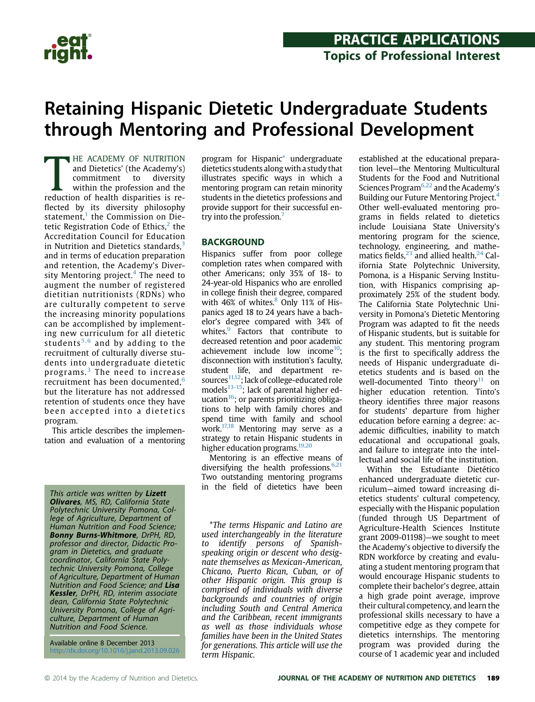

## Retaining Hispanic Dietetic Undergraduate Students through Mentoring and Professional Development

HE ACADEMY OF NUTRITION<br>
and Dietetics' (the Academy's)<br>
commitment to diversity<br>
within the profession and the<br>
reduction of health disparities is re-**HE ACADEMY OF NUTRITION** and Dietetics' (the Academy's) commitment to diversity within the profession and the flected by its diversity philosophy statement, $<sup>1</sup>$  $<sup>1</sup>$  $<sup>1</sup>$  the Commission on Die-</sup> tetic Registration Code of Ethics,<sup>[2](#page-4-0)</sup> the Accreditation Council for Education in Nutrition and Dietetics standards, $3$ and in terms of education preparation and retention, the Academy's Diver-sity Mentoring project.<sup>[4](#page-4-0)</sup> The need to augment the number of registered dietitian nutritionists (RDNs) who are culturally competent to serve the increasing minority populations can be accomplished by implementing new curriculum for all dietetic students<sup>[5,6](#page-5-0)</sup> and by adding to the recruitment of culturally diverse students into undergraduate dietetic programs.[3](#page-4-0) The need to increase recruitment has been documented.<sup>[6](#page-5-0)</sup> but the literature has not addressed retention of students once they have been accepted into a dietetics program.

This article describes the implementation and evaluation of a mentoring

This article was written by Lizett **Olivares**, MS, RD, California State Polytechnic University Pomona, College of Agriculture, Department of Human Nutrition and Food Science; Bonny Burns-Whitmore, DrPH, RD, professor and director, Didactic Program in Dietetics, and graduate coordinator, California State Polytechnic University Pomona, College of Agriculture, Department of Human Nutrition and Food Science; and Lisa Kessler, DrPH, RD, interim associate dean, California State Polytechnic University Pomona, College of Agriculture, Department of Human Nutrition and Food Science.

Available online 8 December 2013 <http://dx.doi.org/10.1016/j.jand.2013.09.026> program for Hispanic\* undergraduate dietetics students alongwith a study that illustrates specific ways in which a mentoring program can retain minority students in the dietetics professions and provide support for their successful en-try into the profession.<sup>[7](#page-5-0)</sup>

Hispanics suffer from poor college completion rates when compared with other Americans; only 35% of 18- to 24-year-old Hispanics who are enrolled in college finish their degree, compared with 46% of whites. $8$  Only 11% of Hispanics aged 18 to 24 years have a bachelor's degree compared with 34% of whites.<sup>9</sup> Factors that contribute to decreased retention and poor academic achievement include low income $10$ : disconnection with institution's faculty, student life, and department resources $11,12$ ; lack of college-educated role models $^{13-15}$ ; lack of parental higher education $16$ ; or parents prioritizing obligations to help with family chores and spend time with family and school work.<sup>[17,18](#page-5-0)</sup> Mentoring may serve as a strategy to retain Hispanic students in higher education programs.<sup>19,20</sup>

Mentoring is an effective means of diversifying the health professions. $6,21$ Two outstanding mentoring programs in the field of dietetics have been

\*The terms Hispanic and Latino are used interchangeably in the literature to identify persons of Spanishspeaking origin or descent who designate themselves as Mexican-American, Chicano, Puerto Rican, Cuban, or of other Hispanic origin. This group is comprised of individuals with diverse backgrounds and countries of origin including South and Central America and the Caribbean, recent immigrants as well as those individuals whose families have been in the United States for generations. This article will use the term Hispanic.

established at the educational preparation level—the Mentoring Multicultural Students for the Food and Nutritional Sciences Program $6,22$  and the Academy's Building our Future Mentoring Project[.4](#page-4-0) Other well-evaluated mentoring programs in fields related to dietetics include Louisiana State University's mentoring program for the science, technology, engineering, and mathematics fields, $^{23}$  $^{23}$  $^{23}$  and allied health. $^{24}$  California State Polytechnic University, Pomona, is a Hispanic Serving Institution, with Hispanics comprising approximately 25% of the student body. The California State Polytechnic University in Pomona's Dietetic Mentoring Program was adapted to fit the needs of Hispanic students, but is suitable for any student. This mentoring program is the first to specifically address the needs of Hispanic undergraduate dietetics students and is based on the well-documented Tinto theory $11$  on higher education retention. Tinto's theory identifies three major reasons for students' departure from higher education before earning a degree: academic difficulties, inability to match educational and occupational goals, and failure to integrate into the intellectual and social life of the institution.

Within the Estudiante Dietético enhanced undergraduate dietetic curriculum—aimed toward increasing dietetics students' cultural competency, especially with the Hispanic population (funded through US Department of Agriculture-Health Sciences Institute grant 2009-01198)—we sought to meet the Academy's objective to diversify the RDN workforce by creating and evaluating a student mentoring program that would encourage Hispanic students to complete their bachelor's degree, attain a high grade point average, improve their cultural competency, and learn the professional skills necessary to have a competitive edge as they compete for dietetics internships. The mentoring program was provided during the course of 1 academic year and included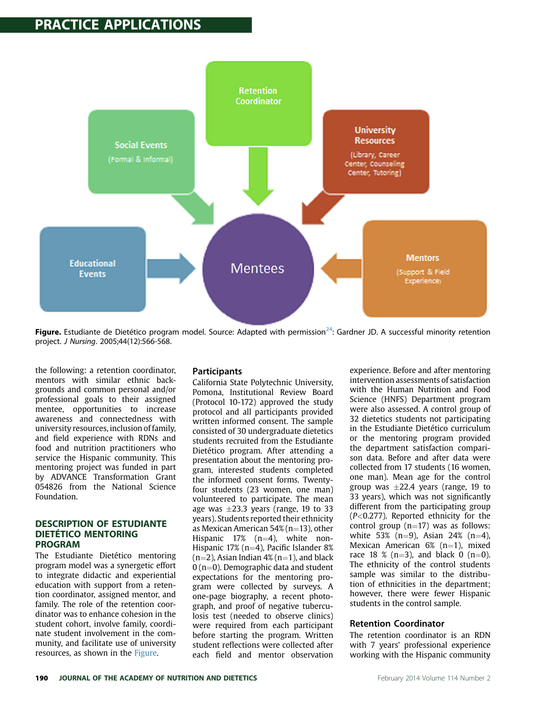

**Figure.** Estudiante de Dietético program model. Source: Adapted with permission<sup>24</sup>: Gardner JD. A successful minority retention project. J Nursing. 2005;44(12):566-568.

the following: a retention coordinator, mentors with similar ethnic backgrounds and common personal and/or professional goals to their assigned mentee, opportunities to increase awareness and connectedness with university resources, inclusion of family, and field experience with RDNs and food and nutrition practitioners who service the Hispanic community. This mentoring project was funded in part by ADVANCE Transformation Grant 054826 from the National Science Foundation.

#### **DESCRIPTION OF ESTUDIANTE** DIETÉTICO MENTORING **PROGRAM**

e est and an<br>The Estudiante Dietético mentoring program model was a synergetic effort to integrate didactic and experiential education with support from a retention coordinator, assigned mentor, and family. The role of the retention coordinator was to enhance cohesion in the student cohort, involve family, coordinate student involvement in the community, and facilitate use of university resources, as shown in the Figure.

#### **Participants**

California State Polytechnic University, Pomona, Institutional Review Board (Protocol 10-172) approved the study protocol and all participants provided written informed consent. The sample consisted of 30 undergraduate dietetics students recruited from the Estudiante Dietético program. After attending a presentation about the mentoring program, interested students completed the informed consent forms. Twentyfour students (23 women, one man) volunteered to participate. The mean age was  $\pm 23.3$  years (range, 19 to 33 years). Students reported their ethnicity as Mexican American  $54\%$  (n=13), other Hispanic  $17\%$  (n=4), white non-Hispanic 17% (n=4), Pacific Islander 8%  $(n=2)$ , Asian Indian 4%  $(n=1)$ , and black  $0$  (n=0). Demographic data and student expectations for the mentoring program were collected by surveys. A one-page biography, a recent photograph, and proof of negative tuberculosis test (needed to observe clinics) were required from each participant before starting the program. Written student reflections were collected after each field and mentor observation experience. Before and after mentoring intervention assessments of satisfaction with the Human Nutrition and Food Science (HNFS) Department program were also assessed. A control group of 32 dietetics students not participating in the Estudiante Dietético curriculum or the mentoring program provided the department satisfaction comparison data. Before and after data were collected from 17 students (16 women, one man). Mean age for the control group was  $\pm 22.4$  years (range, 19 to 33 years), which was not significantly different from the participating group (P<0.277). Reported ethnicity for the control group  $(n=17)$  was as follows: white 53%  $(n=9)$ , Asian 24%  $(n=4)$ , Mexican American  $6\%$  (n=1), mixed race 18 % (n=3), and black 0 (n=0). The ethnicity of the control students sample was similar to the distribution of ethnicities in the department; however, there were fewer Hispanic students in the control sample.

#### Retention Coordinator

The retention coordinator is an RDN with 7 years' professional experience working with the Hispanic community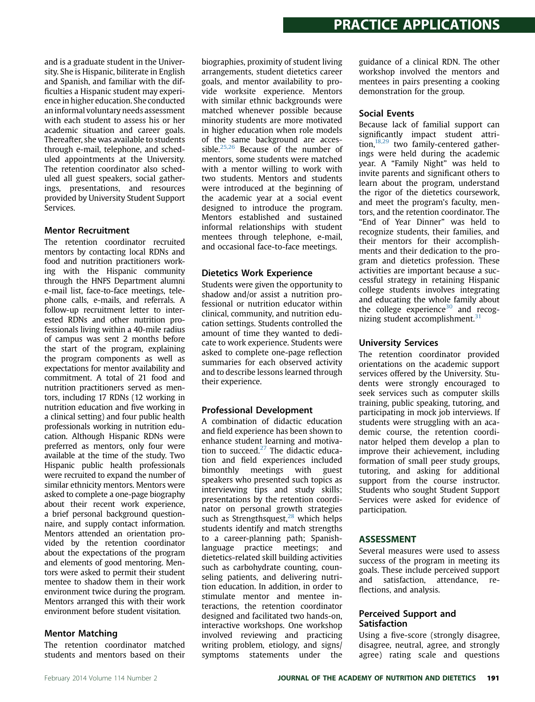and is a graduate student in the University. She is Hispanic, biliterate in English and Spanish, and familiar with the difficulties a Hispanic student may experience in higher education. She conducted an informal voluntary needs assessment with each student to assess his or her academic situation and career goals. Thereafter, she was available to students through e-mail, telephone, and scheduled appointments at the University. The retention coordinator also scheduled all guest speakers, social gatherings, presentations, and resources provided by University Student Support Services.

#### Mentor Recruitment

The retention coordinator recruited mentors by contacting local RDNs and food and nutrition practitioners working with the Hispanic community through the HNFS Department alumni e-mail list, face-to-face meetings, telephone calls, e-mails, and referrals. A follow-up recruitment letter to interested RDNs and other nutrition professionals living within a 40-mile radius of campus was sent 2 months before the start of the program, explaining the program components as well as expectations for mentor availability and commitment. A total of 21 food and nutrition practitioners served as mentors, including 17 RDNs (12 working in nutrition education and five working in a clinical setting) and four public health professionals working in nutrition education. Although Hispanic RDNs were preferred as mentors, only four were available at the time of the study. Two Hispanic public health professionals were recruited to expand the number of similar ethnicity mentors. Mentors were asked to complete a one-page biography about their recent work experience, a brief personal background questionnaire, and supply contact information. Mentors attended an orientation provided by the retention coordinator about the expectations of the program and elements of good mentoring. Mentors were asked to permit their student mentee to shadow them in their work environment twice during the program. Mentors arranged this with their work environment before student visitation.

#### Mentor Matching

The retention coordinator matched students and mentors based on their biographies, proximity of student living arrangements, student dietetics career goals, and mentor availability to provide worksite experience. Mentors with similar ethnic backgrounds were matched whenever possible because minority students are more motivated in higher education when role models of the same background are acces-sible.<sup>[25,26](#page-5-0)</sup> Because of the number of mentors, some students were matched with a mentor willing to work with two students. Mentors and students were introduced at the beginning of the academic year at a social event designed to introduce the program. Mentors established and sustained informal relationships with student mentees through telephone, e-mail, and occasional face-to-face meetings.

#### Dietetics Work Experience

Students were given the opportunity to shadow and/or assist a nutrition professional or nutrition educator within clinical, community, and nutrition education settings. Students controlled the amount of time they wanted to dedicate to work experience. Students were asked to complete one-page reflection summaries for each observed activity and to describe lessons learned through their experience.

### Professional Development

A combination of didactic education and field experience has been shown to enhance student learning and motivation to succeed. $27$  The didactic education and field experiences included bimonthly meetings with guest speakers who presented such topics as interviewing tips and study skills; presentations by the retention coordinator on personal growth strategies such as Strengthsquest, $28$  which helps students identify and match strengths to a career-planning path; Spanishlanguage practice meetings; and dietetics-related skill building activities such as carbohydrate counting, counseling patients, and delivering nutrition education. In addition, in order to stimulate mentor and mentee interactions, the retention coordinator designed and facilitated two hands-on, interactive workshops. One workshop involved reviewing and practicing writing problem, etiology, and signs/ symptoms statements under the

guidance of a clinical RDN. The other workshop involved the mentors and mentees in pairs presenting a cooking demonstration for the group.

#### Social Events

Because lack of familial support can significantly impact student attri-tion,<sup>[18,29](#page-5-0)</sup> two family-centered gatherings were held during the academic year. A "Family Night" was held to invite parents and significant others to learn about the program, understand the rigor of the dietetics coursework, and meet the program's faculty, mentors, and the retention coordinator. The "End of Year Dinner" was held to recognize students, their families, and their mentors for their accomplishments and their dedication to the program and dietetics profession. These activities are important because a successful strategy in retaining Hispanic college students involves integrating and educating the whole family about the college experience<sup>[30](#page-5-0)</sup> and recog-nizing student accomplishment.<sup>[31](#page-5-0)</sup>

### University Services

The retention coordinator provided orientations on the academic support services offered by the University. Students were strongly encouraged to seek services such as computer skills training, public speaking, tutoring, and participating in mock job interviews. If students were struggling with an academic course, the retention coordinator helped them develop a plan to improve their achievement, including formation of small peer study groups, tutoring, and asking for additional support from the course instructor. Students who sought Student Support Services were asked for evidence of participation.

### **ASSESSMENT**

Several measures were used to assess success of the program in meeting its goals. These include perceived support and satisfaction, attendance, reflections, and analysis.

#### Perceived Support and Satisfaction

Using a five-score (strongly disagree, disagree, neutral, agree, and strongly agree) rating scale and questions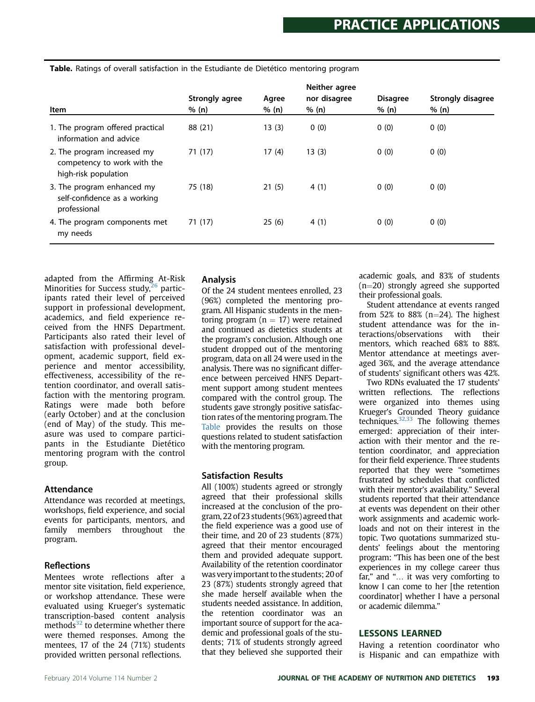| Item                                                                               | Strongly agree<br>% (n) | Agree<br>% (n) | Neither agree<br>nor disagree<br>% (n) | <b>Disagree</b><br>% (n) | <b>Strongly disagree</b><br>% (n) |
|------------------------------------------------------------------------------------|-------------------------|----------------|----------------------------------------|--------------------------|-----------------------------------|
| 1. The program offered practical<br>information and advice                         | 88 (21)                 | 13(3)          | 0(0)                                   | 0(0)                     | 0(0)                              |
| 2. The program increased my<br>competency to work with the<br>high-risk population | 71(17)                  | 17(4)          | 13(3)                                  | 0(0)                     | 0(0)                              |
| 3. The program enhanced my<br>self-confidence as a working<br>professional         | 75 (18)                 | 21(5)          | 4(1)                                   | 0(0)                     | 0(0)                              |
| 4. The program components met<br>my needs                                          | 71 (17)                 | 25(6)          | 4(1)                                   | 0(0)                     | 0(0)                              |

Table. Ratings of overall satisfaction in the Estudiante de Dietético mentoring program

adapted from the Affirming At-Risk Minorities for Success study, $26$  participants rated their level of perceived support in professional development, academics, and field experience received from the HNFS Department. Participants also rated their level of satisfaction with professional development, academic support, field experience and mentor accessibility, effectiveness, accessibility of the retention coordinator, and overall satisfaction with the mentoring program. Ratings were made both before (early October) and at the conclusion (end of May) of the study. This measure was used to compare participants in the Estudiante Dietético mentoring program with the control group.

#### **Attendance**

Attendance was recorded at meetings, workshops, field experience, and social events for participants, mentors, and family members throughout the program.

### Reflections

Mentees wrote reflections after a mentor site visitation, field experience, or workshop attendance. These were evaluated using Krueger's systematic transcription-based content analysis methods $32$  to determine whether there were themed responses. Among the mentees, 17 of the 24 (71%) students provided written personal reflections.

### Analysis

Of the 24 student mentees enrolled, 23 (96%) completed the mentoring program. All Hispanic students in the mentoring program ( $n = 17$ ) were retained and continued as dietetics students at the program's conclusion. Although one student dropped out of the mentoring program, data on all 24 were used in the analysis. There was no significant difference between perceived HNFS Department support among student mentees compared with the control group. The students gave strongly positive satisfaction rates of the mentoring program. The Table provides the results on those questions related to student satisfaction with the mentoring program.

### Satisfaction Results

All (100%) students agreed or strongly agreed that their professional skills increased at the conclusion of the program, 22 of 23 students (96%) agreed that the field experience was a good use of their time, and 20 of 23 students (87%) agreed that their mentor encouraged them and provided adequate support. Availability of the retention coordinator was very important to the students; 20 of 23 (87%) students strongly agreed that she made herself available when the students needed assistance. In addition, the retention coordinator was an important source of support for the academic and professional goals of the students; 71% of students strongly agreed that they believed she supported their

academic goals, and 83% of students  $(n=20)$  strongly agreed she supported their professional goals.

Student attendance at events ranged from 52% to 88% ( $n=24$ ). The highest student attendance was for the interactions/observations with their mentors, which reached 68% to 88%. Mentor attendance at meetings averaged 36%, and the average attendance of students' significant others was 42%.

Two RDNs evaluated the 17 students' written reflections. The reflections were organized into themes using Krueger's Grounded Theory guidance techniques. $32,33$  The following themes emerged: appreciation of their interaction with their mentor and the retention coordinator, and appreciation for their field experience. Three students reported that they were "sometimes frustrated by schedules that conflicted with their mentor's availability." Several students reported that their attendance at events was dependent on their other work assignments and academic workloads and not on their interest in the topic. Two quotations summarized students' feelings about the mentoring program: "This has been one of the best experiences in my college career thus far," and "... it was very comforting to know I can come to her [the retention coordinator] whether I have a personal or academic dilemma."

#### **LESSONS LEARNED**

LESSONS LEARNED Having a retention coordinator who is Hispanic and can empathize with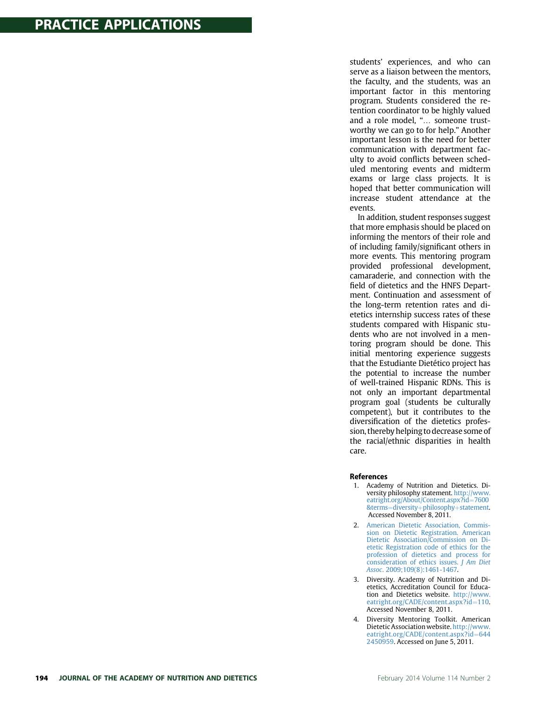<span id="page-4-0"></span>students' experiences, and who can serve as a liaison between the mentors, the faculty, and the students, was an important factor in this mentoring program. Students considered the retention coordinator to be highly valued and a role model, "... someone trustworthy we can go to for help." Another important lesson is the need for better communication with department faculty to avoid conflicts between scheduled mentoring events and midterm exams or large class projects. It is hoped that better communication will increase student attendance at the events.

In addition, student responses suggest that more emphasis should be placed on informing the mentors of their role and of including family/significant others in more events. This mentoring program provided professional development, camaraderie, and connection with the field of dietetics and the HNFS Department. Continuation and assessment of the long-term retention rates and dietetics internship success rates of these students compared with Hispanic students who are not involved in a mentoring program should be done. This initial mentoring experience suggests that the Estudiante Dietético project has the potential to increase the number of well-trained Hispanic RDNs. This is not only an important departmental program goal (students be culturally competent), but it contributes to the diversification of the dietetics profession, thereby helping to decrease some of the racial/ethnic disparities in health care.

#### **References**

- 1. Academy of Nutrition and Dietetics. Diversity philosophy statement. [http://www.](http://www.eatright.org/About/Content.aspx?id=7600%26terms=diversity+philosophy+statement) [eatright.org/About/Content.aspx?id](http://www.eatright.org/About/Content.aspx?id=7600%26terms=diversity+philosophy+statement)=[7600](http://www.eatright.org/About/Content.aspx?id=7600%26terms=diversity+philosophy+statement) [&terms](http://www.eatright.org/About/Content.aspx?id=7600%26terms=diversity+philosophy+statement)=[diversity](http://www.eatright.org/About/Content.aspx?id=7600%26terms=diversity+philosophy+statement)+[philosophy](http://www.eatright.org/About/Content.aspx?id=7600%26terms=diversity+philosophy+statement)+[statement](http://www.eatright.org/About/Content.aspx?id=7600%26terms=diversity+philosophy+statement). Accessed November 8, 2011.
- 2. [American Dietetic Association, Commis](http://refhub.elsevier.com/S2212-2672(13)01547-5/sref1)[sion on Dietetic Registration. American](http://refhub.elsevier.com/S2212-2672(13)01547-5/sref1) [Dietetic Association/Commission on Di](http://refhub.elsevier.com/S2212-2672(13)01547-5/sref1)[etetic Registration code of ethics for the](http://refhub.elsevier.com/S2212-2672(13)01547-5/sref1) [profession of dietetics and process for](http://refhub.elsevier.com/S2212-2672(13)01547-5/sref1) [consideration of ethics issues.](http://refhub.elsevier.com/S2212-2672(13)01547-5/sref1) J Am Diet Assoc[. 2009;109\(8\):1461-1467](http://refhub.elsevier.com/S2212-2672(13)01547-5/sref1).
- 3. Diversity. Academy of Nutrition and Dietetics, Accreditation Council for Education and Dietetics website. [http://www.](http://www.eatright.org/CADE/content.aspx?id=110) [eatright.org/CADE/content.aspx?id](http://www.eatright.org/CADE/content.aspx?id=110)=[110](http://www.eatright.org/CADE/content.aspx?id=110). Accessed November 8, 2011.
- 4. Diversity Mentoring Toolkit. American Dietetic Association website. [http://www.](http://www.eatright.org/CADE/content.aspx?id=6442450959) [eatright.org/CADE/content.aspx?id](http://www.eatright.org/CADE/content.aspx?id=6442450959)=[644](http://www.eatright.org/CADE/content.aspx?id=6442450959) [2450959](http://www.eatright.org/CADE/content.aspx?id=6442450959). Accessed on June 5, 2011.